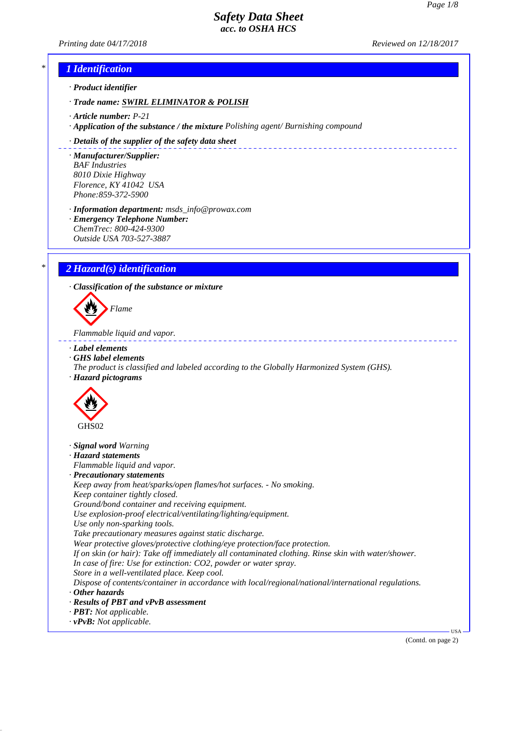*Printing date 04/17/2018 Reviewed on 12/18/2017*

\_\_\_\_\_\_\_\_\_\_\_\_\_\_\_\_\_\_\_\_\_\_\_\_\_\_\_\_

# *\* 1 Identification*

*· Product identifier*

*· Trade name: SWIRL ELIMINATOR & POLISH*

- *· Article number: P-21*
- *· Application of the substance / the mixture Polishing agent/ Burnishing compound*

#### *· Details of the supplier of the safety data sheet*

*· Manufacturer/Supplier: BAF Industries 8010 Dixie Highway Florence, KY 41042 USA Phone:859-372-5900*

*· Information department: msds\_info@prowax.com*

*· Emergency Telephone Number: ChemTrec: 800-424-9300 Outside USA 703-527-3887*

# *\* 2 Hazard(s) identification*

*· Classification of the substance or mixture*

*Flame*

*Flammable liquid and vapor.* 

- *· Label elements*
- *· GHS label elements*
- *The product is classified and labeled according to the Globally Harmonized System (GHS). · Hazard pictograms*



- *· Signal word Warning*
- *· Hazard statements*

*Flammable liquid and vapor.*

*· Precautionary statements*

*Keep away from heat/sparks/open flames/hot surfaces. - No smoking. Keep container tightly closed. Ground/bond container and receiving equipment.*

*Use explosion-proof electrical/ventilating/lighting/equipment.*

*Use only non-sparking tools.*

*Take precautionary measures against static discharge.*

*Wear protective gloves/protective clothing/eye protection/face protection.*

*If on skin (or hair): Take off immediately all contaminated clothing. Rinse skin with water/shower.*

- *In case of fire: Use for extinction: CO2, powder or water spray.*
- *Store in a well-ventilated place. Keep cool.*

*Dispose of contents/container in accordance with local/regional/national/international regulations. · Other hazards*

- 
- *· Results of PBT and vPvB assessment*
- *· PBT: Not applicable.*
- *· vPvB: Not applicable.*

(Contd. on page 2)

USA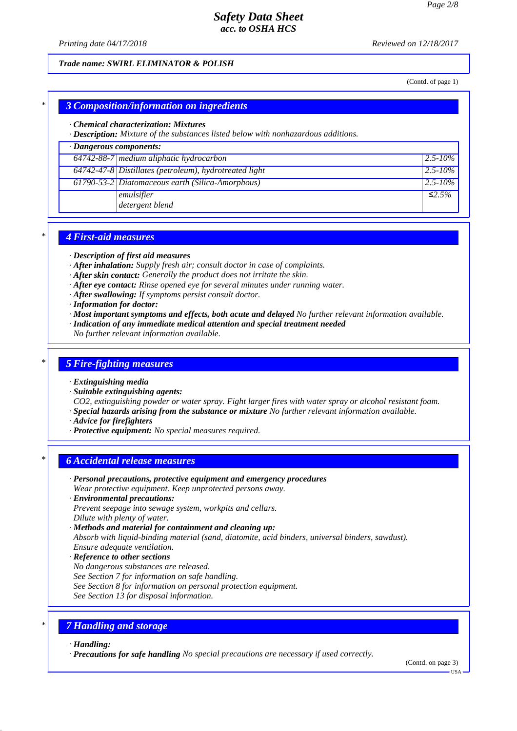*Printing date 04/17/2018 Reviewed on 12/18/2017*

### *Trade name: SWIRL ELIMINATOR & POLISH*

(Contd. of page 1)

### *\* 3 Composition/information on ingredients*

#### *· Chemical characterization: Mixtures*

*· Description: Mixture of the substances listed below with nonhazardous additions.*

## *· Dangerous components:*

| $64742-88-7$ medium aliphatic hydrocarbon                | $ 2.5 - 10\% $ |
|----------------------------------------------------------|----------------|
| $64742-47-8$ Distillates (petroleum), hydrotreated light | $ 2.5 - 10\% $ |
| 61790-53-2 Diatomaceous earth (Silica-Amorphous)         | $ 2.5 - 10\% $ |
| emulsifier                                               | $\leq 2.5\%$   |
| detergent blend                                          |                |

### *\* 4 First-aid measures*

- *· Description of first aid measures*
- *· After inhalation: Supply fresh air; consult doctor in case of complaints.*
- *· After skin contact: Generally the product does not irritate the skin.*
- *· After eye contact: Rinse opened eye for several minutes under running water.*
- *· After swallowing: If symptoms persist consult doctor.*
- *· Information for doctor:*
- *· Most important symptoms and effects, both acute and delayed No further relevant information available.*
- *· Indication of any immediate medical attention and special treatment needed*
- *No further relevant information available.*

### *\* 5 Fire-fighting measures*

#### *· Extinguishing media*

*· Suitable extinguishing agents:*

*CO2, extinguishing powder or water spray. Fight larger fires with water spray or alcohol resistant foam. · Special hazards arising from the substance or mixture No further relevant information available.*

- *· Advice for firefighters*
- *· Protective equipment: No special measures required.*

### *\* 6 Accidental release measures*

*· Personal precautions, protective equipment and emergency procedures*

*Wear protective equipment. Keep unprotected persons away.*

- *· Environmental precautions: Prevent seepage into sewage system, workpits and cellars.*
- *Dilute with plenty of water.*
- *· Methods and material for containment and cleaning up:*

*Absorb with liquid-binding material (sand, diatomite, acid binders, universal binders, sawdust). Ensure adequate ventilation.*

- *· Reference to other sections*
- *No dangerous substances are released.*
- *See Section 7 for information on safe handling.*
- *See Section 8 for information on personal protection equipment.*
- *See Section 13 for disposal information.*

## *\* 7 Handling and storage*

*· Handling:*

*· Precautions for safe handling No special precautions are necessary if used correctly.*

(Contd. on page 3)

USA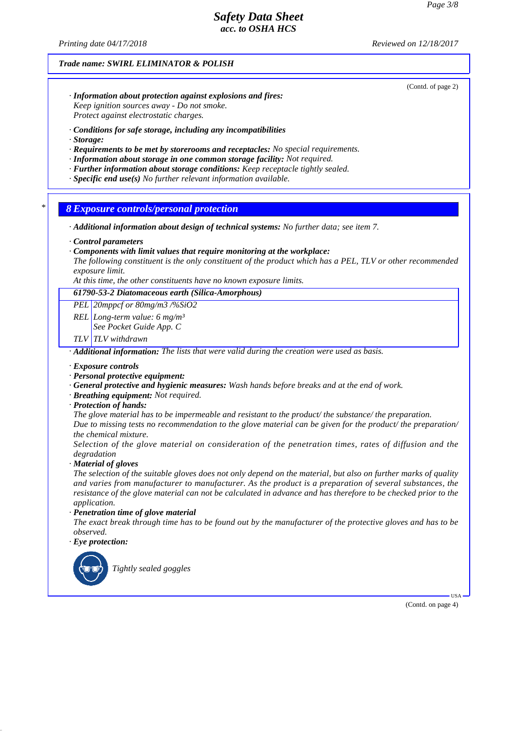*Printing date 04/17/2018 Reviewed on 12/18/2017*

*Trade name: SWIRL ELIMINATOR & POLISH*

(Contd. of page 2)

- *· Information about protection against explosions and fires: Keep ignition sources away - Do not smoke. Protect against electrostatic charges.*
- *· Conditions for safe storage, including any incompatibilities*
- *· Storage:*
- *· Requirements to be met by storerooms and receptacles: No special requirements.*
- *· Information about storage in one common storage facility: Not required.*
- *· Further information about storage conditions: Keep receptacle tightly sealed.*
- *· Specific end use(s) No further relevant information available.*

*\* 8 Exposure controls/personal protection*

*· Additional information about design of technical systems: No further data; see item 7.*

*· Control parameters*

- *· Components with limit values that require monitoring at the workplace:*
- *The following constituent is the only constituent of the product which has a PEL, TLV or other recommended exposure limit.*

*At this time, the other constituents have no known exposure limits.*

*61790-53-2 Diatomaceous earth (Silica-Amorphous)*

*PEL 20mppcf or 80mg/m3 /%SiO2*

*REL Long-term value: 6 mg/m³*

*See Pocket Guide App. C*

*TLV TLV withdrawn*

*· Additional information: The lists that were valid during the creation were used as basis.*

*· Exposure controls*

- *· Personal protective equipment:*
- *· General protective and hygienic measures: Wash hands before breaks and at the end of work.*
- *· Breathing equipment: Not required.*
- *· Protection of hands:*

*The glove material has to be impermeable and resistant to the product/ the substance/ the preparation.*

*Due to missing tests no recommendation to the glove material can be given for the product/ the preparation/ the chemical mixture.*

*Selection of the glove material on consideration of the penetration times, rates of diffusion and the degradation*

*· Material of gloves*

*The selection of the suitable gloves does not only depend on the material, but also on further marks of quality and varies from manufacturer to manufacturer. As the product is a preparation of several substances, the resistance of the glove material can not be calculated in advance and has therefore to be checked prior to the application.*

*· Penetration time of glove material*

*The exact break through time has to be found out by the manufacturer of the protective gloves and has to be observed.*

*· Eye protection:*



(Contd. on page 4)

USA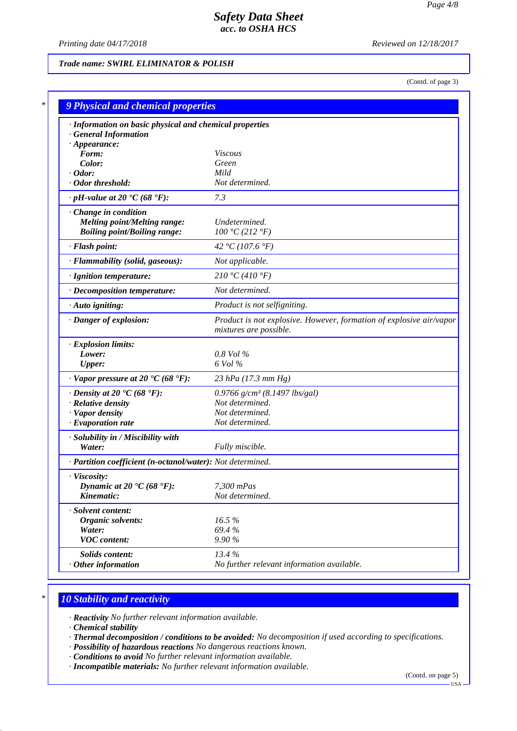*Printing date 04/17/2018 Reviewed on 12/18/2017*

# *Trade name: SWIRL ELIMINATOR & POLISH*

(Contd. of page 3)

| · Information on basic physical and chemical properties      |                                                                                               |
|--------------------------------------------------------------|-----------------------------------------------------------------------------------------------|
| <b>General Information</b>                                   |                                                                                               |
| $\cdot$ Appearance:<br>Form:                                 | Viscous                                                                                       |
| Color:                                                       | Green                                                                                         |
| $\cdot$ Odor:                                                | Mild                                                                                          |
| · Odor threshold:                                            | Not determined.                                                                               |
| $\cdot$ pH-value at 20 $\textdegree$ C (68 $\textdegree$ F): | 7.3                                                                                           |
| Change in condition                                          |                                                                                               |
| <b>Melting point/Melting range:</b>                          | Undetermined.                                                                                 |
| <b>Boiling point/Boiling range:</b>                          | 100 °C (212 °F)                                                                               |
| · Flash point:                                               | 42 °C (107.6 °F)                                                                              |
| · Flammability (solid, gaseous):                             | Not applicable.                                                                               |
| · Ignition temperature:                                      | 210 °C (410 °F)                                                                               |
| · Decomposition temperature:                                 | Not determined.                                                                               |
| · Auto igniting:                                             | Product is not selfigniting.                                                                  |
| · Danger of explosion:                                       | Product is not explosive. However, formation of explosive air/vapor<br>mixtures are possible. |
| · Explosion limits:                                          |                                                                                               |
| Lower:                                                       | $0.8$ Vol $\%$                                                                                |
| <b>Upper:</b>                                                | 6 Vol %                                                                                       |
| $\cdot$ Vapor pressure at 20 °C (68 °F):                     | 23 hPa (17.3 mm Hg)                                                                           |
| $\cdot$ Density at 20 $\cdot$ C (68 $\cdot$ F):              | 0.9766 $g/cm^3$ (8.1497 lbs/gal)                                                              |
| · Relative density                                           | Not determined.                                                                               |
| · Vapor density                                              | Not determined.                                                                               |
| $\cdot$ Evaporation rate                                     | Not determined.                                                                               |
| · Solubility in / Miscibility with                           |                                                                                               |
| Water:                                                       | Fully miscible.                                                                               |
| · Partition coefficient (n-octanol/water): Not determined.   |                                                                                               |
| $\cdot$ Viscosity:                                           |                                                                                               |
| Dynamic at 20 $\textdegree$ C (68 $\textdegree$ F):          | 7,300 mPas                                                                                    |
| Kinematic:                                                   | Not determined.                                                                               |
| · Solvent content:                                           |                                                                                               |
| Organic solvents:                                            | 16.5%                                                                                         |
| Water:                                                       | 69.4%                                                                                         |
| <b>VOC</b> content:                                          | 9.90 %                                                                                        |
| <b>Solids content:</b>                                       | 13.4%                                                                                         |
| $·$ Other information                                        | No further relevant information available.                                                    |

# *\* 10 Stability and reactivity*

*· Reactivity No further relevant information available.*

*· Chemical stability*

- *· Thermal decomposition / conditions to be avoided: No decomposition if used according to specifications.*
- *· Possibility of hazardous reactions No dangerous reactions known.*
- *· Conditions to avoid No further relevant information available.*
- *· Incompatible materials: No further relevant information available.*

(Contd. on page 5)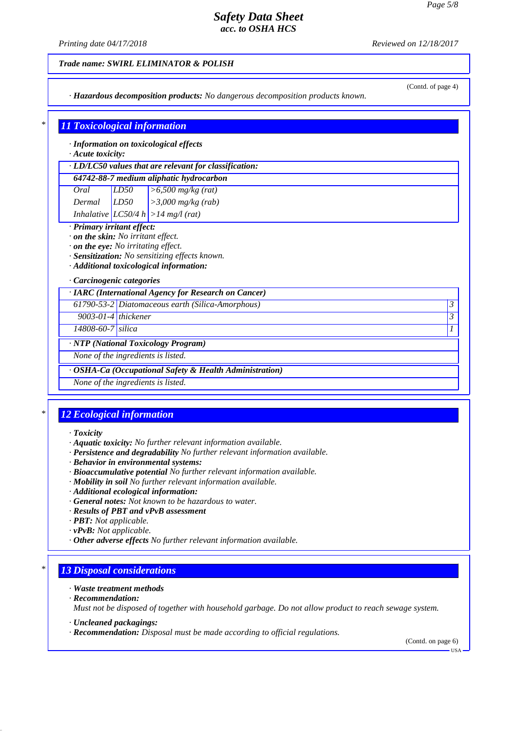*Printing date 04/17/2018 Reviewed on 12/18/2017*

### *Trade name: SWIRL ELIMINATOR & POLISH*

*· Hazardous decomposition products: No dangerous decomposition products known.*

# (Contd. of page 4)

# *\* 11 Toxicological information*

*· Information on toxicological effects*

## *· Acute toxicity:*

| $\cdot$ LD/LC50 values that are relevant for classification: |      |                                              |  |  |  |  |
|--------------------------------------------------------------|------|----------------------------------------------|--|--|--|--|
| 64742-88-7 medium aliphatic hydrocarbon                      |      |                                              |  |  |  |  |
| Oral                                                         | LD50 | $\left  > 6,500 \text{ mg/kg (rat)} \right $ |  |  |  |  |
| $D_{\text{max}}$                                             | rron | $3.200 \dots 4.4 \dots$                      |  |  |  |  |

*Dermal LD50 >3,000 mg/kg (rab) Inhalative LC50/4 h >14 mg/l (rat)*

### *· Primary irritant effect:*

*· on the skin: No irritant effect.*

*· on the eye: No irritating effect.*

*· Sensitization: No sensitizing effects known.*

*· Additional toxicological information:*

### *· Carcinogenic categories*

|                           | · IARC (International Agency for Research on Cancer)    |         |
|---------------------------|---------------------------------------------------------|---------|
|                           | 61790-53-2 Diatomaceous earth (Silica-Amorphous)        | 3       |
| $9003 - 01 - 4$ thickener |                                                         | $\beta$ |
| 14808-60-7 silica         |                                                         |         |
|                           | · NTP (National Toxicology Program)                     |         |
|                           | None of the ingredients is listed.                      |         |
|                           | · OSHA-Ca (Occupational Safety & Health Administration) |         |
|                           | None of the ingredients is listed.                      |         |

# *\* 12 Ecological information*

#### *· Toxicity*

- *· Aquatic toxicity: No further relevant information available.*
- *· Persistence and degradability No further relevant information available.*
- *· Behavior in environmental systems:*
- *· Bioaccumulative potential No further relevant information available.*
- *· Mobility in soil No further relevant information available.*
- *· Additional ecological information:*
- *· General notes: Not known to be hazardous to water.*
- *· Results of PBT and vPvB assessment*
- *· PBT: Not applicable.*
- *· vPvB: Not applicable.*
- *· Other adverse effects No further relevant information available.*

## *\* 13 Disposal considerations*

#### *· Waste treatment methods*

*· Recommendation:*

*Must not be disposed of together with household garbage. Do not allow product to reach sewage system.*

- *· Uncleaned packagings:*
- *· Recommendation: Disposal must be made according to official regulations.*

(Contd. on page 6)

USA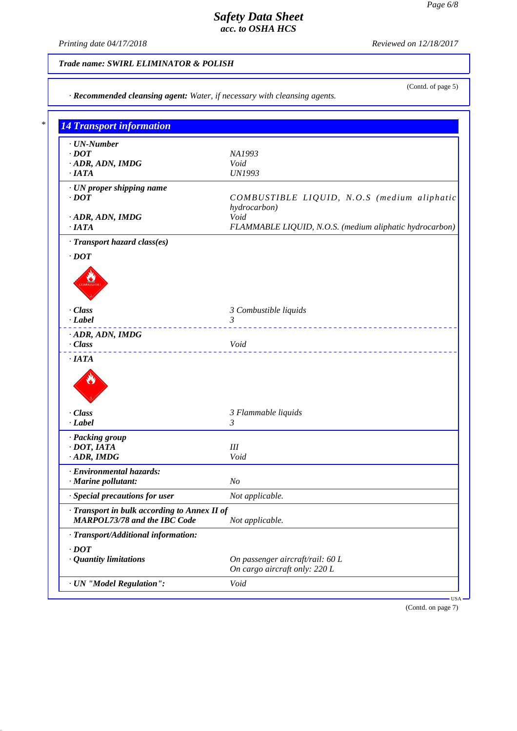*Printing date 04/17/2018 Reviewed on 12/18/2017*

(Contd. of page 5)

# *Trade name: SWIRL ELIMINATOR & POLISH*

| <b>14 Transport information</b>              |                                                         |
|----------------------------------------------|---------------------------------------------------------|
|                                              |                                                         |
| $\cdot$ UN-Number                            |                                                         |
| $\cdot$ <i>DOT</i>                           | NA1993<br>Void                                          |
| · ADR, ADN, IMDG<br>$\cdot$ IATA             | <b>UN1993</b>                                           |
|                                              |                                                         |
| · UN proper shipping name                    |                                                         |
| $\cdot$ DOT                                  | COMBUSTIBLE LIQUID, N.O.S (medium aliphatic             |
|                                              | hydrocarbon)                                            |
| · ADR, ADN, IMDG                             | Void                                                    |
| $\cdot$ IATA                                 | FLAMMABLE LIQUID, N.O.S. (medium aliphatic hydrocarbon) |
| · Transport hazard class(es)                 |                                                         |
| $\cdot$ DOT                                  |                                                         |
|                                              |                                                         |
|                                              |                                                         |
|                                              |                                                         |
|                                              |                                                         |
| · Class                                      | 3 Combustible liquids                                   |
| $\cdot$ Label                                | $\mathfrak{Z}$                                          |
|                                              |                                                         |
| · ADR, ADN, IMDG                             |                                                         |
| · Class                                      | Void                                                    |
| · Class                                      | 3 Flammable liquids                                     |
| · Label                                      | 3                                                       |
| · Packing group                              |                                                         |
| $\cdot$ DOT, IATA                            | III                                                     |
| $\cdot$ ADR, IMDG                            | Void                                                    |
| · Environmental hazards:                     |                                                         |
| $\cdot$ Marine pollutant:                    | N <sub>O</sub>                                          |
| · Special precautions for user               | Not applicable.                                         |
|                                              |                                                         |
|                                              |                                                         |
| · Transport in bulk according to Annex II of |                                                         |
| MARPOL73/78 and the IBC Code                 | Not applicable.                                         |
| · Transport/Additional information:          |                                                         |
| $\cdot$ <i>DOT</i>                           |                                                         |
|                                              | On passenger aircraft/rail: 60 L                        |
| · Quantity limitations                       | On cargo aircraft only: 220 L                           |

(Contd. on page 7)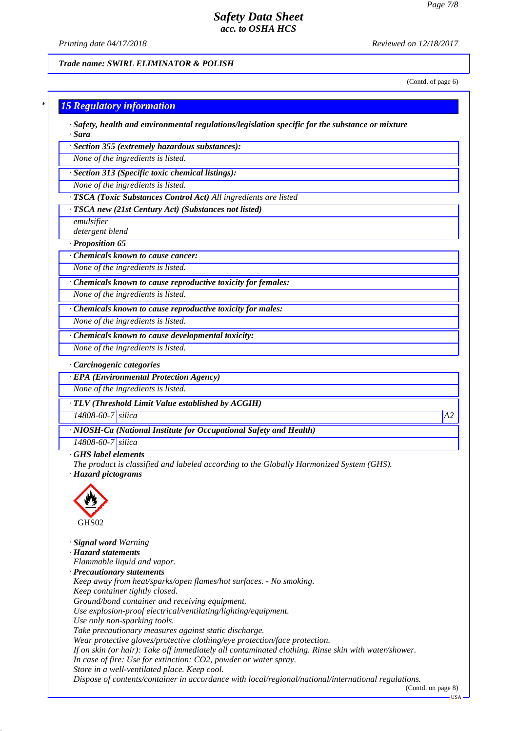*Printing date 04/17/2018 Reviewed on 12/18/2017*

*Trade name: SWIRL ELIMINATOR & POLISH*

(Contd. of page 6)

# *\* 15 Regulatory information*

*· Safety, health and environmental regulations/legislation specific for the substance or mixture · Sara*

*· Section 355 (extremely hazardous substances):*

*None of the ingredients is listed.*

*· Section 313 (Specific toxic chemical listings):*

*None of the ingredients is listed.*

*· TSCA (Toxic Substances Control Act) All ingredients are listed*

*· TSCA new (21st Century Act) (Substances not listed)*

*emulsifier detergent blend*

*· Proposition 65*

*· Chemicals known to cause cancer:*

*None of the ingredients is listed.*

*· Chemicals known to cause reproductive toxicity for females:*

*None of the ingredients is listed.*

*· Chemicals known to cause reproductive toxicity for males:*

*None of the ingredients is listed.*

*· Chemicals known to cause developmental toxicity:*

*None of the ingredients is listed.*

*· Carcinogenic categories*

*· EPA (Environmental Protection Agency)*

*None of the ingredients is listed.*

*· TLV (Threshold Limit Value established by ACGIH)*

*14808-60-7 silica A2*

*· NIOSH-Ca (National Institute for Occupational Safety and Health)*

*14808-60-7 silica*

#### *· GHS label elements*

*The product is classified and labeled according to the Globally Harmonized System (GHS).*

*· Hazard pictograms*



*· Signal word Warning*

*· Hazard statements*

*Flammable liquid and vapor.*

*· Precautionary statements*

*Keep away from heat/sparks/open flames/hot surfaces. - No smoking. Keep container tightly closed.*

*Ground/bond container and receiving equipment.*

*Use explosion-proof electrical/ventilating/lighting/equipment.*

*Use only non-sparking tools.*

*Take precautionary measures against static discharge.*

*Wear protective gloves/protective clothing/eye protection/face protection.*

*If on skin (or hair): Take off immediately all contaminated clothing. Rinse skin with water/shower.*

*In case of fire: Use for extinction: CO2, powder or water spray.*

*Store in a well-ventilated place. Keep cool.*

*Dispose of contents/container in accordance with local/regional/national/international regulations.*